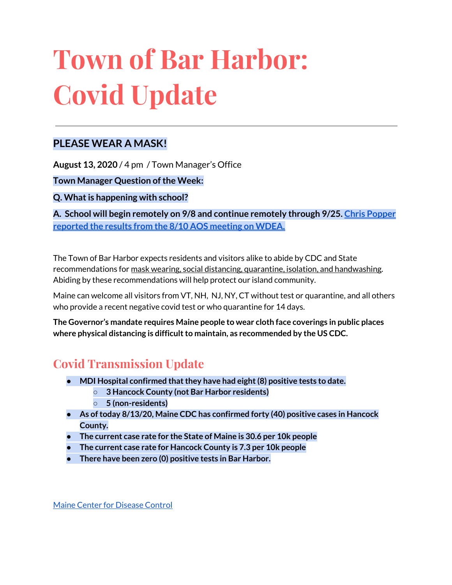# **Town of Bar Harbor: Covid Update**

### **PLEASE WEAR A MASK!**

**August 13, 2020** / 4 pm / Town Manager's Office

**Town Manager Question of the Week:** 

**Q. Whatis happening with school?**

**A. School will begin remotely on 9/8 and continue remotely through 9/25. Chris [Popper](https://wdea.am/aos-91-board-votes-to-start-schools-september-8th-with-remote-learning-through-september-25-video/?trackback=fbshare_mobile&fbclid=IwAR23bDC1sAr5OR3eGMWIuymNzCkxdiBvB9apw4UDZJtBje4FE1wC_lsFI6Q) [reported](https://wdea.am/aos-91-board-votes-to-start-schools-september-8th-with-remote-learning-through-september-25-video/?trackback=fbshare_mobile&fbclid=IwAR23bDC1sAr5OR3eGMWIuymNzCkxdiBvB9apw4UDZJtBje4FE1wC_lsFI6Q) the results from the 8/10 AOS meeting on WDEA.**

The Town of Bar Harbor expects residents and visitors alike to abide by CDC and State recommendations for mask wearing, social distancing, quarantine, isolation, and handwashing. Abiding by these recommendations will help protect our island community.

Maine can welcome all visitors from VT, NH, NJ, NY, CT without test or quarantine, and all others who provide a recent negative covid test or who quarantine for 14 days.

**The Governor's mandate requires Maine people to wear cloth face coverings in public places where physical distancing is difficultto maintain, as recommended by the US CDC.**

# **Covid Transmission Update**

- **● MDI Hospital confirmed thatthey have had eight(8) positive tests to date.**
	- **○ 3 Hancock County (not Bar Harbor residents)**
	- **○ 5 (non-residents)**
- **● As oftoday 8/13/20, Maine CDC has confirmed forty (40) positive cases in Hancock County.**
- **● The current case rate for the State of Maine is 30.6 per 10k people**
- **● The current case rate for Hancock County is 7.3 per 10k people**
- **There have been zero (0) positive tests in Bar Harbor.**

Maine Center for [Disease](https://www.maine.gov/dhhs/mecdc/infectious-disease/epi/airborne/coronavirus.shtml) Control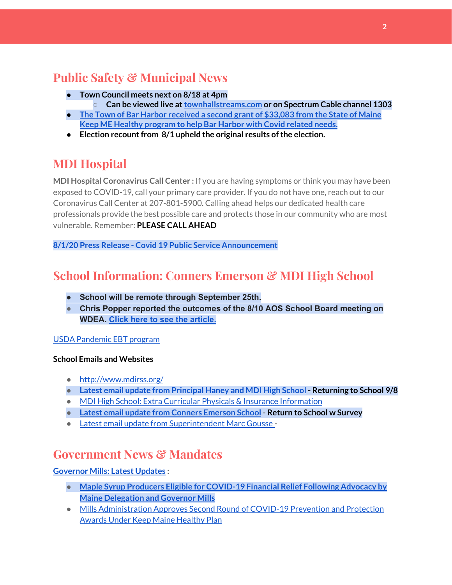# **Public Safety & Municipal News**

- **● Town Council meets next on 8/18 at 4pm**
	- **○ Can be viewed live at[townhallstreams.com](https://townhallstreams.com/) or on Spectrum Cable channel 1303**
- **● The Town of Bar Harbor [received](https://www.maine.gov/governor/mills/news/mills-administration-approves-second-round-covid-19-prevention-and-protection-awards-under) a second grant of \$33,083 from the State of Maine Keep ME Healthy [program](https://www.maine.gov/governor/mills/news/mills-administration-approves-second-round-covid-19-prevention-and-protection-awards-under) to help Bar Harbor with Covid related needs.**
- **•** Election recount from 8/1 upheld the original results of the election.

# **MDI Hospital**

**MDI Hospital Coronavirus Call Center :** If you are having symptoms or think you may have been exposed to COVID-19, call your primary care provider. If you do not have one, reach out to our Coronavirus Call Center at 207-801-5900. Calling ahead helps our dedicated health care professionals provide the best possible care and protects those in our community who are most vulnerable. Remember: **PLEASE CALL AHEAD**

**8/1/20 Press Release - Covid 19 Public Service [Announcement](https://www.mdihospital.org/news/covid-19-public-service-announcement/)**

# **School Information: Conners Emerson & MDI High School**

- **● School will be remote through September 25th.**
- **● Chris Popper reported the outcomes of the 8/10 AOS School Board meeting on WDEA. Click here to see the [article.](https://wdea.am/aos-91-board-votes-to-start-schools-september-8th-with-remote-learning-through-september-25-video/?trackback=fbshare_mobile&fbclid=IwAR23bDC1sAr5OR3eGMWIuymNzCkxdiBvB9apw4UDZJtBje4FE1wC_lsFI6Q)**

#### USDA [Pandemic](http://track.spe.schoolmessenger.com/f/a/j6GQx4nFl3Rld4Q68tYCuA~~/AAAAAQA~/RgRgu5_JP0SlaHR0cHM6Ly9tYWlsLmdvb2dsZS5jb20vbWFpbC91LzAvP3RhYj1jbSNzZWFyY2gvZnJvbSUzQStiZWVzbGV5L1doY3RLSlZyQ0NUS1JmUldCTFdkUVpGZ2pUVlhNdkRwUVpIa2NoRkJCc3NGcHJxZEtnWFF3S05Tamt3R1RxTFpaS21wTkRHP3Byb2plY3Rvcj0xJm1lc3NhZ2VQYXJ0SWQ9MC4xVwdzY2hvb2xtQgoARkls2l72Ls-jUhhiYXJoYXJib3JqZXdlbEBnbWFpbC5jb21YBAAAAAE~) EBT program

#### **School Emails and Websites**

- <http://www.mdirss.org/>
- **● Latest email update from [Principal](https://docs.google.com/document/d/1OKDsYNtOgV0FI9xAcXwQvenOKLV0S2vBg1o5jtu5CrE/edit?usp=sharing) Haney and MDI High School - Returning to School 9/8**
- MDI High School: Extra Curricular Physicals & Insurance [Information](https://wdea.am/mdihs-extracurricular-activity-physicals-and-insurance-information/?trackback=fbshare_mobile&fbclid=IwAR0wxPd824oG1ATLwkeI9s9n2sdpvEiyxeJGgB_mh2BlEJNT_AXiMynkobs)
- **● Latest email update from Conners [Emerson](https://docs.google.com/document/d/1v3pgkG6Q-9S3gisuUIj4etPVDwgBKl4P00JBkvZr-kk/edit?usp=sharing) School - Return to School w Survey**
- Latest email update from [Superintendent](https://docs.google.com/document/d/1fzeCbc8gpTSKmUaDoQH1Avx5PVl-h0reFphXrT1eUNA/edit?usp=sharing) Marc Gousse -

## **Government News & Mandates**

#### **[Governor](https://www.maine.gov/governor/mills/) Mills: Latest Updates :**

- **● Maple Syrup Producers Eligible for [COVID-19](https://www.maine.gov/governor/mills/news/maple-syrup-producers-eligible-covid-19-financial-relief-following-advocacy-maine-delegation) Financial Relief Following Advocacy by Maine [Delegation](https://www.maine.gov/governor/mills/news/maple-syrup-producers-eligible-covid-19-financial-relief-following-advocacy-maine-delegation) and Governor Mills**
- Mills [Administration](https://www.maine.gov/governor/mills/news/mills-administration-approves-second-round-covid-19-prevention-and-protection-awards-under) Approves Second Round of COVID-19 Prevention and Protection **Awards Under Keep Maine [Healthy](https://www.maine.gov/governor/mills/news/mills-administration-approves-second-round-covid-19-prevention-and-protection-awards-under) Plan**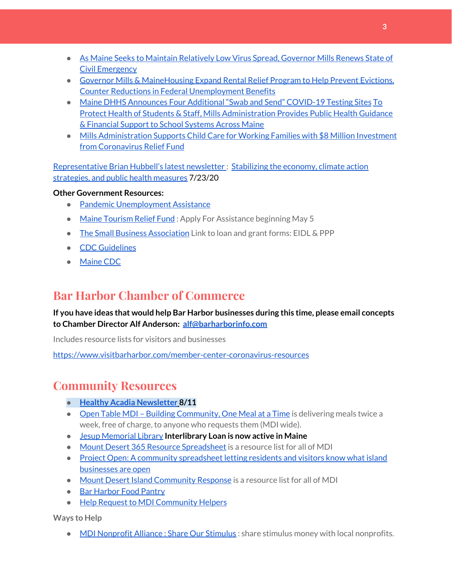- As Maine Seeks to Maintain [Relatively](https://www.maine.gov/governor/mills/news/maine-seeks-maintain-relatively-low-virus-spread-governor-mills-renews-state-civil-emergency) Low Virus Spread, Governor Mills Renews State of Civil [Emergency](https://www.maine.gov/governor/mills/news/maine-seeks-maintain-relatively-low-virus-spread-governor-mills-renews-state-civil-emergency)
- Governor Mills & [MaineHousing](https://www.maine.gov/governor/mills/news/governor-mills-mainehousing-expand-rental-relief-program-help-prevent-evictions-counter) Expand Rental Relief Program to Help Prevent Evictions, Counter Reductions in Federal [Unemployment](https://www.maine.gov/governor/mills/news/governor-mills-mainehousing-expand-rental-relief-program-help-prevent-evictions-counter) Benefits
- Maine DHHS [Announces](https://www.maine.gov/governor/mills/news/maine-dhhs-announces-four-additional-swab-and-send-covid-19-testing-sites-2020-07-21) Four Additional "Swab and Send" COVID-19 Testing Sites [To](https://www.maine.gov/governor/mills/news/protect-health-students-staff-mills-administration-provides-public-health-guidance-financial) Protect Health of Students & Staff, Mills [Administration](https://www.maine.gov/governor/mills/news/protect-health-students-staff-mills-administration-provides-public-health-guidance-financial) Provides Public Health Guidance & [Financial](https://www.maine.gov/governor/mills/news/protect-health-students-staff-mills-administration-provides-public-health-guidance-financial) Support to School Systems Across Maine
- Mills [Administration](https://www.maine.gov/governor/mills/news/mills-administration-supports-child-care-working-families-8-million-investment-coronavirus) Supports Child Care for Working Families with \$8 Million Investment from [Coronavirus](https://www.maine.gov/governor/mills/news/mills-administration-supports-child-care-working-families-8-million-investment-coronavirus) Relief Fund

[Representative](http://www.rephubbell.com/) Brian Hubbell's latest newsletter : [Stabilizing](http://www.rephubbell.com/2020/07/23/stabilizing-the-economy-climate-action-strategies-and-public-health-measures/) the economy, climate action [strategies,](http://www.rephubbell.com/2020/07/23/stabilizing-the-economy-climate-action-strategies-and-public-health-measures/) and public health measures 7/23/20

#### **Other Government Resources:**

- Pandemic [Unemployment](https://www.maine.gov/unemployment/pua/) Assistance
- Maine [Tourism](https://www.mainetourism.com/maine-tourism-relief-fund/) Relief Fund: Apply For Assistance beginning May 5
- The Small Business [Association](https://www.sba.gov/) Link to loan and grant forms: EIDL & PPP
- CDC [Guidelines](https://www.cdc.gov/coronavirus/2019-nCoV/index.html)
- [Maine](https://www.maine.gov/dhhs/mecdc/infectious-disease/epi/airborne/coronavirus.shtml#news) CDC

## **Bar Harbor Chamber of Commerce**

**If you have ideas that would help Bar Harbor businesses during this time, please email concepts to Chamber Director Alf Anderson: [alf@barharborinfo.com](mailto:alf@barharborinfo.com)**

Includes resource lists for visitors and businesses

<https://www.visitbarharbor.com/member-center-coronavirus-resources>

# **Community Resources**

- **● Healthy Acadia [Newsletter](https://mailchi.mp/healthyacadia.org/august_4_2020) [8](https://mailchi.mp/healthyacadia.org/august_4_2020)/11**
- Open Table MDI Building [Community,](https://www.opentablemdi.org/) One Meal at a Time is delivering meals twice a week, free of charge, to anyone who requests them (MDI wide).
- Jesup [Memorial](https://jesuplibrary.org/) Library **Interlibrary Loan is now active in Maine**
- Mount Desert 365 Resource [Spreadsheet](https://docs.google.com/spreadsheets/d/1okAx6HSsgXZY9CGH07Dzi6rqe7a6m4dLCPKot2Li7Ek/edit?usp=sharing) is a resource list for all of MDI
- Project Open: A community [spreadsheet](https://docs.google.com/spreadsheets/d/1dBicBiBXGzzWEFd9oqL7EBDbFWjDCPl6SSMea_Kt4pc/htmlview#) letting residents and visitors know what island [businesses](https://docs.google.com/spreadsheets/d/1dBicBiBXGzzWEFd9oqL7EBDbFWjDCPl6SSMea_Kt4pc/htmlview#) are open
- Mount Desert Island [Community](https://www.mdicr.org/) Response is a resource list for all of MDI
- Bar [Harbor](https://www.barharborfoodpantry.org/) Food Pantry
- Help Request to MDI [Community](https://docs.google.com/forms/d/e/1FAIpQLSeZfu0tCcthHc9oL7tPomVRdniYiE7nbT_kkK9iCSRgqDhOvQ/viewform) Helpers

**Ways to Help**

● MDI [Nonprofit](https://sites.google.com/mdina.org/public/sos-mdi?authuser=0) Alliance : Share Our Stimulus : share stimulus money with local nonprofits.